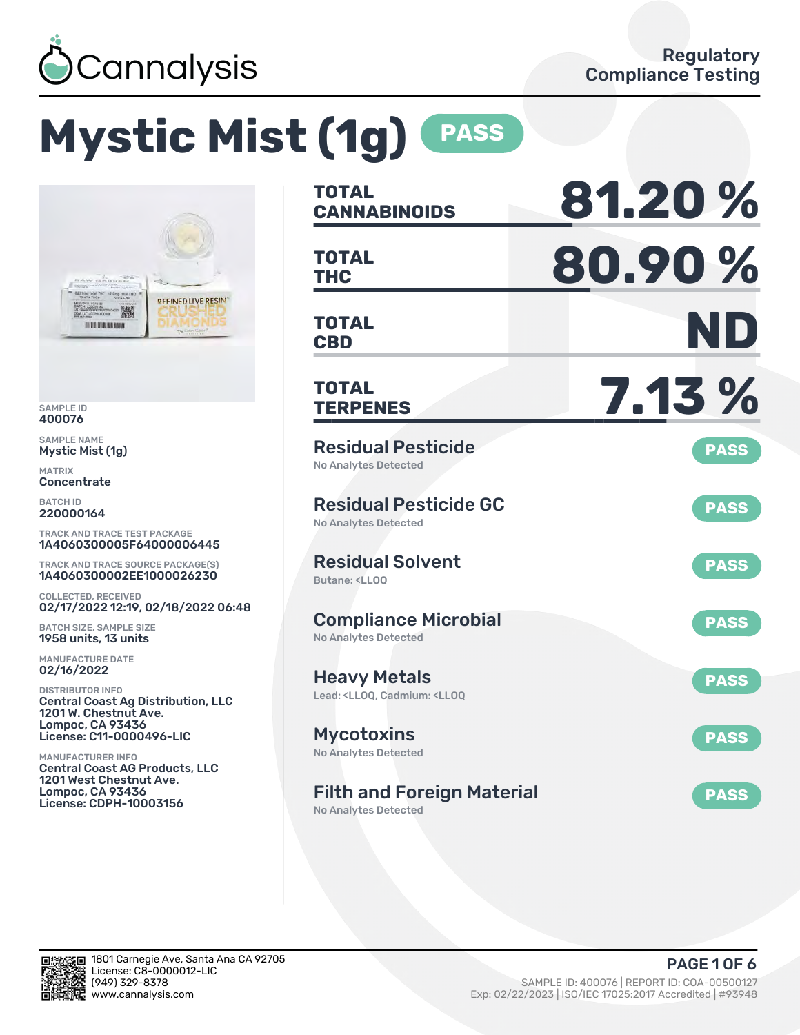

# **Mystic Mist (1g) PASS**



SAMPLE ID 400076

SAMPLE NAME Mystic Mist (1g)

MATRIX Concentrate

BATCH ID 220000164

TRACK AND TRACE TEST PACKAGE 1A4060300005F64000006445

TRACK AND TRACE SOURCE PACKAGE(S) 1A4060300002EE1000026230

COLLECTED, RECEIVED 02/17/2022 12:19, 02/18/2022 06:48

BATCH SIZE, SAMPLE SIZE 1958 units, 13 units

MANUFACTURE DATE 02/16/2022

DISTRIBUTOR INFO Central Coast Ag Distribution, LLC 1201 W. Chestnut Ave. Lompoc, CA 93436 License: C11-0000496-LIC

MANUFACTURER INFO Central Coast AG Products, LLC 1201 West Chestnut Ave. Lompoc, CA 93436 License: CDPH-10003156

| <b>TOTAL</b><br><b>CANNABINOIDS</b>                                                          | 81.20%      |
|----------------------------------------------------------------------------------------------|-------------|
| <b>TOTAL</b><br><b>THC</b>                                                                   | 80.90%      |
| TOTAL<br><b>CBD</b>                                                                          | ND          |
| <b>TOTAL</b><br><b>TERPENES</b>                                                              | 7.13 %      |
| <b>Residual Pesticide</b><br><b>No Analytes Detected</b>                                     | <b>PASS</b> |
| <b>Residual Pesticide GC</b><br><b>No Analytes Detected</b>                                  | <b>PASS</b> |
| <b>Residual Solvent</b><br><b>Butane: <ll00< b=""></ll00<></b>                               | <b>PASS</b> |
| <b>Compliance Microbial</b><br><b>No Analytes Detected</b>                                   | <b>PASS</b> |
| <b>Heavy Metals</b><br>Lead: <lloq, <lloq<="" cadmium:="" td=""><td><b>PASS</b></td></lloq,> | <b>PASS</b> |
| <b>Mycotoxins</b><br><b>No Analytes Detected</b>                                             | <b>PASS</b> |
| <b>Filth and Foreign Material</b>                                                            | <b>PASS</b> |

No Analytes Detected

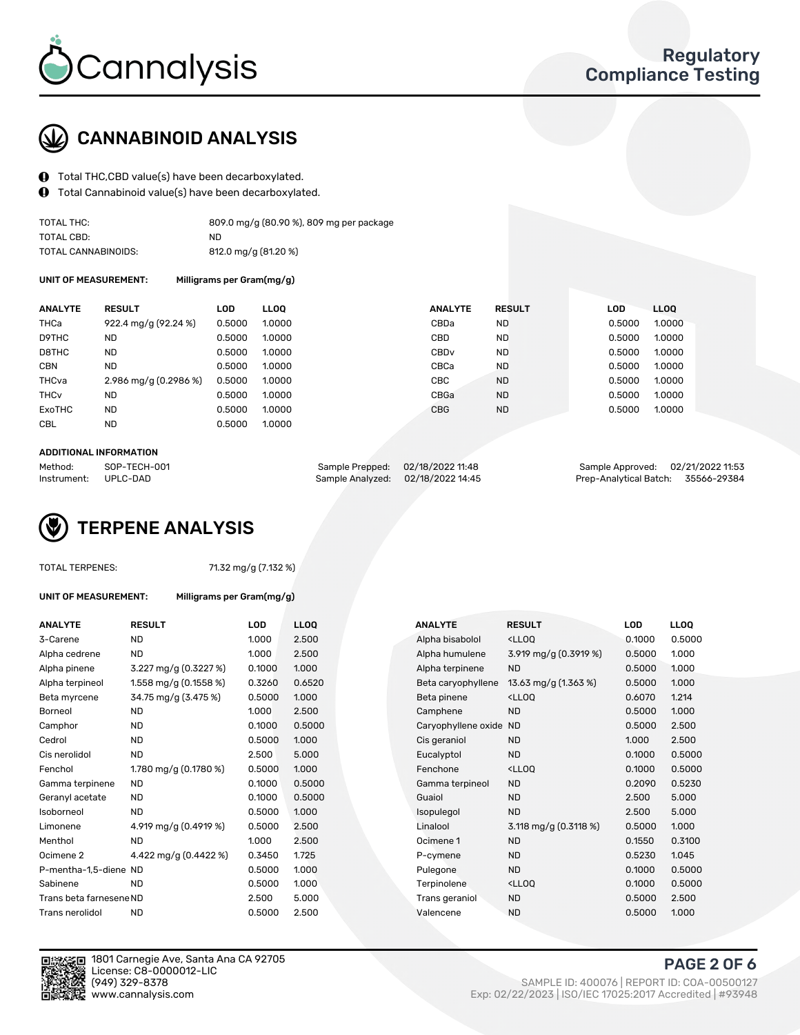

## CANNABINOID ANALYSIS

- Total THC,CBD value(s) have been decarboxylated.
- Total Cannabinoid value(s) have been decarboxylated.  $\bf{0}$

| TOTAL THC:          | 809.0 mg/g (80.90 %), 809 mg per package |
|---------------------|------------------------------------------|
| TOTAL CBD:          | ND.                                      |
| TOTAL CANNABINOIDS: | 812.0 mg/g (81.20 %)                     |

UNIT OF MEASUREMENT: Milligrams per Gram(mg/g)

| <b>ANALYTE</b>         | <b>RESULT</b>         | <b>LOD</b> | <b>LLOO</b> | <b>ANALYTE</b>   | <b>RESULT</b> | LOD.   | LL <sub>00</sub> |
|------------------------|-----------------------|------------|-------------|------------------|---------------|--------|------------------|
| THCa                   | 922.4 mg/g (92.24 %)  | 0.5000     | 1.0000      | CBDa             | <b>ND</b>     | 0.5000 | 1.0000           |
| D9THC                  | <b>ND</b>             | 0.5000     | 1.0000      | CBD              | <b>ND</b>     | 0.5000 | 1.0000           |
| D8THC                  | <b>ND</b>             | 0.5000     | 1.0000      | CBD <sub>v</sub> | <b>ND</b>     | 0.5000 | 1.0000           |
| <b>CBN</b>             | <b>ND</b>             | 0.5000     | 1.0000      | CBCa             | <b>ND</b>     | 0.5000 | 1.0000           |
| THCva                  | 2.986 mg/g (0.2986 %) | 0.5000     | 1.0000      | CBC              | <b>ND</b>     | 0.5000 | 1.0000           |
| <b>THC<sub>v</sub></b> | <b>ND</b>             | 0.5000     | 1.0000      | CBGa             | <b>ND</b>     | 0.5000 | 1.0000           |
| <b>ExoTHC</b>          | <b>ND</b>             | 0.5000     | 1.0000      | <b>CBG</b>       | <b>ND</b>     | 0.5000 | 1.0000           |
| <b>CBL</b>             | <b>ND</b>             | 0.5000     | 1.0000      |                  |               |        |                  |
|                        |                       |            |             |                  |               |        |                  |

#### ADDITIONAL INFORMATION

| Method:              | SOP-TECH-001 | Sample Prepped: 02/18/2022 11:48  | Sample Approved: 02/21/2022 11:53  |  |
|----------------------|--------------|-----------------------------------|------------------------------------|--|
| Instrument: UPLC-DAD |              | Sample Analyzed: 02/18/2022 14:45 | Prep-Analytical Batch: 35566-29384 |  |

## TERPENE ANALYSIS

|  | <b>TOTAL TERPENES:</b> |
|--|------------------------|
|--|------------------------|

71.32 mg/g (7.132 %)

|  | UNIT OF MEASUREMENT: |  |
|--|----------------------|--|

Milligrams per Gram(mg/g)

| <b>ANALYTE</b>          | <b>RESULT</b>         | <b>LOD</b> | <b>LLOQ</b> |  | <b>ANALYTE</b>         | <b>RESULT</b>                                       | <b>LOD</b> | <b>LLOQ</b> |
|-------------------------|-----------------------|------------|-------------|--|------------------------|-----------------------------------------------------|------------|-------------|
| 3-Carene                | ND                    | 1.000      | 2.500       |  | Alpha bisabolol        | <ll0q< td=""><td>0.1000</td><td>0.5000</td></ll0q<> | 0.1000     | 0.5000      |
| Alpha cedrene           | ND.                   | 1.000      | 2.500       |  | Alpha humulene         | 3.919 mg/g (0.3919 %)                               | 0.5000     | 1.000       |
| Alpha pinene            | 3.227 mg/g (0.3227 %) | 0.1000     | 1.000       |  | Alpha terpinene        | <b>ND</b>                                           | 0.5000     | 1.000       |
| Alpha terpineol         | 1.558 mg/g (0.1558 %) | 0.3260     | 0.6520      |  | Beta caryophyllene     | 13.63 mg/g (1.363 %)                                | 0.5000     | 1.000       |
| Beta myrcene            | 34.75 mg/g (3.475 %)  | 0.5000     | 1.000       |  | Beta pinene            | <lloq< td=""><td>0.6070</td><td>1.214</td></lloq<>  | 0.6070     | 1.214       |
| Borneol                 | <b>ND</b>             | 1.000      | 2.500       |  | Camphene               | <b>ND</b>                                           | 0.5000     | 1.000       |
| Camphor                 | <b>ND</b>             | 0.1000     | 0.5000      |  | Caryophyllene oxide ND |                                                     | 0.5000     | 2.500       |
| Cedrol                  | <b>ND</b>             | 0.5000     | 1.000       |  | Cis geraniol           | <b>ND</b>                                           | 1.000      | 2.500       |
| Cis nerolidol           | <b>ND</b>             | 2.500      | 5.000       |  | Eucalyptol             | <b>ND</b>                                           | 0.1000     | 0.5000      |
| Fenchol                 | 1.780 mg/g (0.1780 %) | 0.5000     | 1.000       |  | Fenchone               | <ll0q< td=""><td>0.1000</td><td>0.5000</td></ll0q<> | 0.1000     | 0.5000      |
| Gamma terpinene         | <b>ND</b>             | 0.1000     | 0.5000      |  | Gamma terpineol        | <b>ND</b>                                           | 0.2090     | 0.5230      |
| Geranyl acetate         | <b>ND</b>             | 0.1000     | 0.5000      |  | Guaiol                 | <b>ND</b>                                           | 2.500      | 5.000       |
| Isoborneol              | <b>ND</b>             | 0.5000     | 1.000       |  | Isopulegol             | <b>ND</b>                                           | 2.500      | 5.000       |
| Limonene                | 4.919 mg/g (0.4919 %) | 0.5000     | 2.500       |  | Linalool               | 3.118 mg/g $(0.3118%)$                              | 0.5000     | 1.000       |
| Menthol                 | <b>ND</b>             | 1.000      | 2.500       |  | Ocimene 1              | <b>ND</b>                                           | 0.1550     | 0.3100      |
| Ocimene 2               | 4.422 mg/g (0.4422 %) | 0.3450     | 1.725       |  | P-cymene               | <b>ND</b>                                           | 0.5230     | 1.045       |
| P-mentha-1,5-diene ND   |                       | 0.5000     | 1.000       |  | Pulegone               | <b>ND</b>                                           | 0.1000     | 0.5000      |
| Sabinene                | <b>ND</b>             | 0.5000     | 1.000       |  | Terpinolene            | <lloq< td=""><td>0.1000</td><td>0.5000</td></lloq<> | 0.1000     | 0.5000      |
| Trans beta farnesene ND |                       | 2.500      | 5.000       |  | Trans geraniol         | <b>ND</b>                                           | 0.5000     | 2.500       |
| Trans nerolidol         | <b>ND</b>             | 0.5000     | 2.500       |  | Valencene              | <b>ND</b>                                           | 0.5000     | 1.000       |



1801 Carnegie Ave, Santa Ana CA 92705 License: C8-0000012-LIC<br>(949) 329-8378

# PAGE 2 OF 6

(949) 329-8378 SAMPLE ID: 400076 | REPORT ID: COA-00500127 Exp: 02/22/2023 | ISO/IEC 17025:2017 Accredited | #93948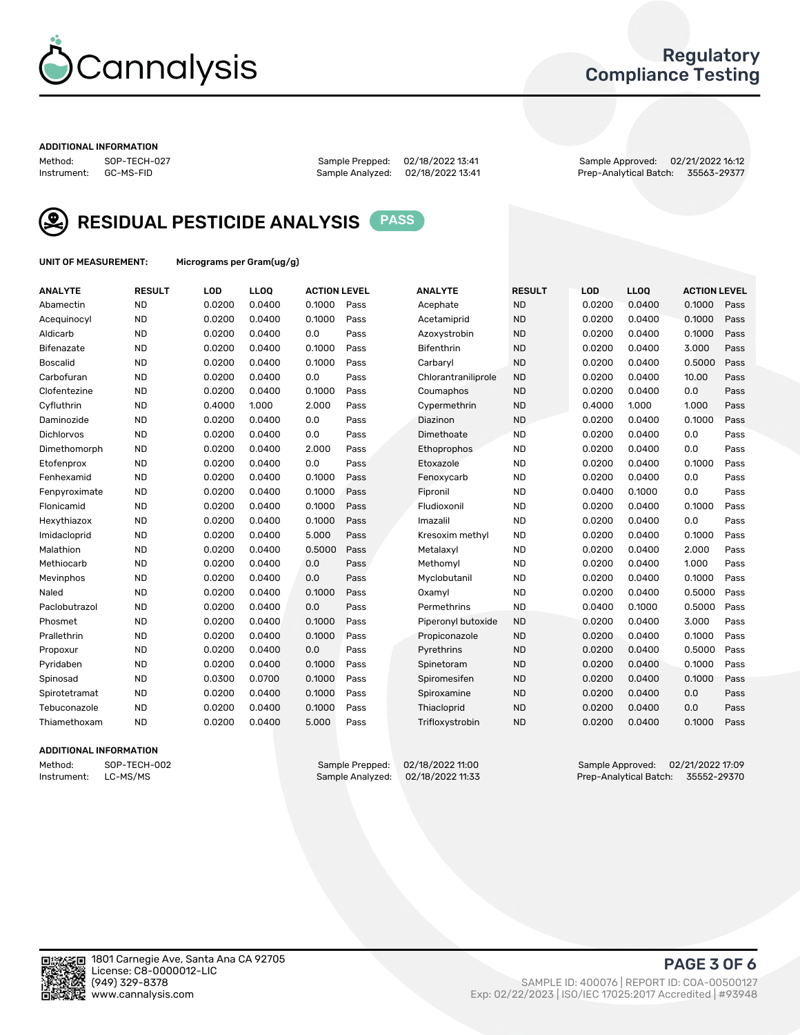

### Regulatory Compliance Testing

#### ADDITIONAL INFORMATION

Sample Analyzed: 02/18/2022 13:41

Method: SOP-TECH-027 Sample Prepped: 02/18/2022 13:41 Sample Approved: 02/21/2022 16:12



RESIDUAL PESTICIDE ANALYSIS PASS

UNIT OF MEASUREMENT: Micrograms per Gram(ug/g)

| <b>ANALYTE</b>    | <b>RESULT</b> | LOD    | LL <sub>OO</sub> | <b>ACTION LEVEL</b> |      | <b>ANALYTE</b>      | <b>RESULT</b> | LOD    | <b>LLOQ</b> | <b>ACTION LEVEL</b> |      |
|-------------------|---------------|--------|------------------|---------------------|------|---------------------|---------------|--------|-------------|---------------------|------|
| Abamectin         | <b>ND</b>     | 0.0200 | 0.0400           | 0.1000              | Pass | Acephate            | <b>ND</b>     | 0.0200 | 0.0400      | 0.1000              | Pass |
| Acequinocyl       | <b>ND</b>     | 0.0200 | 0.0400           | 0.1000              | Pass | Acetamiprid         | <b>ND</b>     | 0.0200 | 0.0400      | 0.1000              | Pass |
| Aldicarb          | <b>ND</b>     | 0.0200 | 0.0400           | 0.0                 | Pass | Azoxystrobin        | <b>ND</b>     | 0.0200 | 0.0400      | 0.1000              | Pass |
| Bifenazate        | <b>ND</b>     | 0.0200 | 0.0400           | 0.1000              | Pass | <b>Bifenthrin</b>   | <b>ND</b>     | 0.0200 | 0.0400      | 3.000               | Pass |
| <b>Boscalid</b>   | <b>ND</b>     | 0.0200 | 0.0400           | 0.1000              | Pass | Carbaryl            | <b>ND</b>     | 0.0200 | 0.0400      | 0.5000              | Pass |
| Carbofuran        | <b>ND</b>     | 0.0200 | 0.0400           | 0.0                 | Pass | Chlorantraniliprole | <b>ND</b>     | 0.0200 | 0.0400      | 10.00               | Pass |
| Clofentezine      | <b>ND</b>     | 0.0200 | 0.0400           | 0.1000              | Pass | Coumaphos           | <b>ND</b>     | 0.0200 | 0.0400      | 0.0                 | Pass |
| Cyfluthrin        | <b>ND</b>     | 0.4000 | 1.000            | 2.000               | Pass | Cypermethrin        | <b>ND</b>     | 0.4000 | 1.000       | 1.000               | Pass |
| Daminozide        | <b>ND</b>     | 0.0200 | 0.0400           | 0.0                 | Pass | Diazinon            | <b>ND</b>     | 0.0200 | 0.0400      | 0.1000              | Pass |
| <b>Dichlorvos</b> | <b>ND</b>     | 0.0200 | 0.0400           | 0.0                 | Pass | Dimethoate          | <b>ND</b>     | 0.0200 | 0.0400      | 0.0                 | Pass |
| Dimethomorph      | <b>ND</b>     | 0.0200 | 0.0400           | 2.000               | Pass | Ethoprophos         | <b>ND</b>     | 0.0200 | 0.0400      | 0.0                 | Pass |
| Etofenprox        | <b>ND</b>     | 0.0200 | 0.0400           | 0.0                 | Pass | Etoxazole           | <b>ND</b>     | 0.0200 | 0.0400      | 0.1000              | Pass |
| Fenhexamid        | <b>ND</b>     | 0.0200 | 0.0400           | 0.1000              | Pass | Fenoxycarb          | <b>ND</b>     | 0.0200 | 0.0400      | 0.0                 | Pass |
| Fenpyroximate     | <b>ND</b>     | 0.0200 | 0.0400           | 0.1000              | Pass | Fipronil            | <b>ND</b>     | 0.0400 | 0.1000      | 0.0                 | Pass |
| Flonicamid        | <b>ND</b>     | 0.0200 | 0.0400           | 0.1000              | Pass | Fludioxonil         | <b>ND</b>     | 0.0200 | 0.0400      | 0.1000              | Pass |
| Hexythiazox       | <b>ND</b>     | 0.0200 | 0.0400           | 0.1000              | Pass | Imazalil            | <b>ND</b>     | 0.0200 | 0.0400      | 0.0                 | Pass |
| Imidacloprid      | <b>ND</b>     | 0.0200 | 0.0400           | 5.000               | Pass | Kresoxim methyl     | <b>ND</b>     | 0.0200 | 0.0400      | 0.1000              | Pass |
| Malathion         | <b>ND</b>     | 0.0200 | 0.0400           | 0.5000              | Pass | Metalaxyl           | <b>ND</b>     | 0.0200 | 0.0400      | 2.000               | Pass |
| Methiocarb        | <b>ND</b>     | 0.0200 | 0.0400           | 0.0                 | Pass | Methomyl            | <b>ND</b>     | 0.0200 | 0.0400      | 1.000               | Pass |
| Mevinphos         | <b>ND</b>     | 0.0200 | 0.0400           | 0.0                 | Pass | Myclobutanil        | <b>ND</b>     | 0.0200 | 0.0400      | 0.1000              | Pass |
| Naled             | <b>ND</b>     | 0.0200 | 0.0400           | 0.1000              | Pass | Oxamyl              | <b>ND</b>     | 0.0200 | 0.0400      | 0.5000              | Pass |
| Paclobutrazol     | <b>ND</b>     | 0.0200 | 0.0400           | 0.0                 | Pass | Permethrins         | <b>ND</b>     | 0.0400 | 0.1000      | 0.5000              | Pass |
| Phosmet           | <b>ND</b>     | 0.0200 | 0.0400           | 0.1000              | Pass | Piperonyl butoxide  | <b>ND</b>     | 0.0200 | 0.0400      | 3.000               | Pass |
| Prallethrin       | <b>ND</b>     | 0.0200 | 0.0400           | 0.1000              | Pass | Propiconazole       | <b>ND</b>     | 0.0200 | 0.0400      | 0.1000              | Pass |
| Propoxur          | <b>ND</b>     | 0.0200 | 0.0400           | 0.0                 | Pass | Pyrethrins          | <b>ND</b>     | 0.0200 | 0.0400      | 0.5000              | Pass |
| Pyridaben         | <b>ND</b>     | 0.0200 | 0.0400           | 0.1000              | Pass | Spinetoram          | <b>ND</b>     | 0.0200 | 0.0400      | 0.1000              | Pass |
| Spinosad          | <b>ND</b>     | 0.0300 | 0.0700           | 0.1000              | Pass | Spiromesifen        | <b>ND</b>     | 0.0200 | 0.0400      | 0.1000              | Pass |
| Spirotetramat     | <b>ND</b>     | 0.0200 | 0.0400           | 0.1000              | Pass | Spiroxamine         | <b>ND</b>     | 0.0200 | 0.0400      | 0.0                 | Pass |
| Tebuconazole      | <b>ND</b>     | 0.0200 | 0.0400           | 0.1000              | Pass | Thiacloprid         | <b>ND</b>     | 0.0200 | 0.0400      | 0.0                 | Pass |
| Thiamethoxam      | <b>ND</b>     | 0.0200 | 0.0400           | 5.000               | Pass | Trifloxystrobin     | <b>ND</b>     | 0.0200 | 0.0400      | 0.1000              | Pass |

#### ADDITIONAL INFORMATION

Method: SOP-TECH-002 Sample Prepped: 02/18/2022 11:00 Sample Approved: 02/21/2022 17:09<br>Instrument: LC-MS/MS Sample Analyzed: 02/18/2022 11:33 Prep-Analytical Batch: 35552-29370 Prep-Analytical Batch: 35552-29370

PAGE 3 OF 6

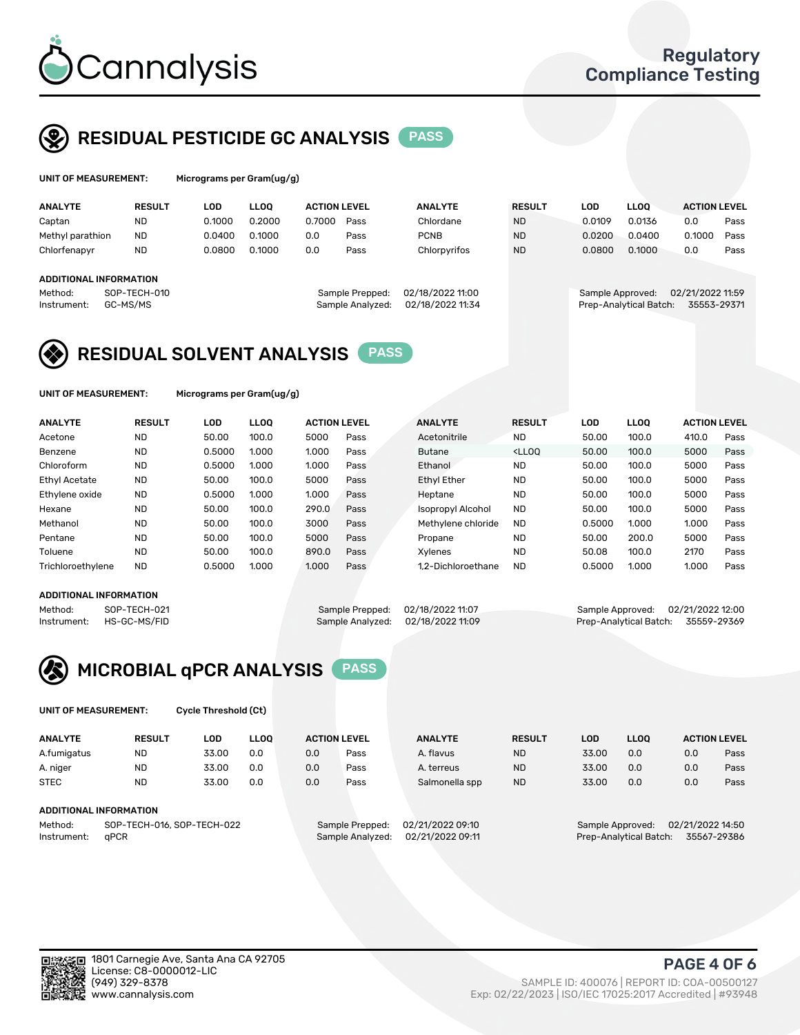

## RESIDUAL PESTICIDE GC ANALYSIS PASS

| UNIT OF MEASUREMENT: |                        |               | Micrograms per Gram(ug/g) |             |               |                     |                  |                  |               |        |                        |                     |      |  |
|----------------------|------------------------|---------------|---------------------------|-------------|---------------|---------------------|------------------|------------------|---------------|--------|------------------------|---------------------|------|--|
|                      | <b>ANALYTE</b>         | <b>RESULT</b> | LOD                       | <b>LLOO</b> |               | <b>ACTION LEVEL</b> |                  | <b>ANALYTE</b>   | <b>RESULT</b> | LOD    | <b>LLOO</b>            | <b>ACTION LEVEL</b> |      |  |
|                      | Captan                 | ND            | 0.1000                    |             | 0.2000        | 0.7000              | Pass             | Chlordane        | <b>ND</b>     | 0.0109 | 0.0136                 | 0.0                 | Pass |  |
|                      | Methyl parathion       | <b>ND</b>     |                           | 0.0400      | 0.1000        | 0.0                 | Pass             | <b>PCNB</b>      | <b>ND</b>     | 0.0200 | 0.0400                 | 0.1000              | Pass |  |
|                      | Chlorfenapyr           | <b>ND</b>     |                           | 0.0800      | 0.1000<br>0.0 |                     | Pass             | Chlorpyrifos     | <b>ND</b>     | 0.0800 | 0.1000                 | 0.0                 | Pass |  |
|                      |                        |               |                           |             |               |                     |                  |                  |               |        |                        |                     |      |  |
|                      | ADDITIONAL INFORMATION |               |                           |             |               |                     |                  |                  |               |        |                        |                     |      |  |
|                      | Method:                | SOP-TECH-010  |                           |             |               |                     | Sample Prepped:  | 02/18/2022 11:00 |               |        | Sample Approved:       | 02/21/2022 11:59    |      |  |
|                      | Instrument:            | GC-MS/MS      |                           |             |               |                     | Sample Analyzed: | 02/18/2022 11:34 |               |        | Prep-Analytical Batch: | 35553-29371         |      |  |

## RESIDUAL SOLVENT ANALYSIS PASS

UNIT OF MEASUREMENT: Micrograms per Gram(ug/g)

| <b>ANALYTE</b>       | <b>RESULT</b> | <b>LOD</b> | <b>LLOO</b> | <b>ACTION LEVEL</b> |      | <b>ANALYTE</b>           | <b>RESULT</b>                                                               | LOD    | <b>LLOO</b> | <b>ACTION LEVEL</b> |      |
|----------------------|---------------|------------|-------------|---------------------|------|--------------------------|-----------------------------------------------------------------------------|--------|-------------|---------------------|------|
| Acetone              | <b>ND</b>     | 50.00      | 100.0       | 5000                | Pass | Acetonitrile             | <b>ND</b>                                                                   | 50.00  | 100.0       | 410.0               | Pass |
| Benzene              | <b>ND</b>     | 0.5000     | 1.000       | 1.000               | Pass | <b>Butane</b>            | <lloo< td=""><td>50.00</td><td>100.0</td><td>5000</td><td>Pass</td></lloo<> | 50.00  | 100.0       | 5000                | Pass |
| Chloroform           | <b>ND</b>     | 0.5000     | 1.000       | 1.000               | Pass | Ethanol                  | <b>ND</b>                                                                   | 50.00  | 100.0       | 5000                | Pass |
| <b>Ethyl Acetate</b> | <b>ND</b>     | 50.00      | 100.0       | 5000                | Pass | Ethyl Ether              | <b>ND</b>                                                                   | 50.00  | 100.0       | 5000                | Pass |
| Ethylene oxide       | <b>ND</b>     | 0.5000     | 1.000       | 1.000               | Pass | Heptane                  | <b>ND</b>                                                                   | 50.00  | 100.0       | 5000                | Pass |
| Hexane               | <b>ND</b>     | 50.00      | 100.0       | 290.0               | Pass | <b>Isopropyl Alcohol</b> | <b>ND</b>                                                                   | 50.00  | 100.0       | 5000                | Pass |
| Methanol             | <b>ND</b>     | 50.00      | 100.0       | 3000                | Pass | Methylene chloride       | <b>ND</b>                                                                   | 0.5000 | 1.000       | 1.000               | Pass |
| Pentane              | <b>ND</b>     | 50.00      | 100.0       | 5000                | Pass | Propane                  | <b>ND</b>                                                                   | 50.00  | 200.0       | 5000                | Pass |
| Toluene              | <b>ND</b>     | 50.00      | 100.0       | 890.0               | Pass | Xvlenes                  | <b>ND</b>                                                                   | 50.08  | 100.0       | 2170                | Pass |
| Trichloroethylene    | <b>ND</b>     | 0.5000     | 1.000       | 1.000               | Pass | 1.2-Dichloroethane       | <b>ND</b>                                                                   | 0.5000 | 1.000       | 1.000               | Pass |
|                      |               |            |             |                     |      |                          |                                                                             |        |             |                     |      |

#### ADDITIONAL INFORMATION

Method: SOP-TECH-021 Sample Prepped: 02/18/2022 11:07 Sample Approved: 02/21/2022 12:00<br>Sample Analyzed: 02/18/2022 11:09 Prep-Analytical Batch: 35559-29369

Prep-Analytical Batch: 35559-29369



UNIT OF MEASUREMENT: Cycle Threshold (Ct)

| <b>ANALYTE</b>                        | <b>RESULT</b>          | LOD   | <b>LLOO</b> |                 | <b>ACTION LEVEL</b> | <b>ANALYTE</b> | <b>RESULT</b> | LOD              | <b>LLOO</b>      |     | <b>ACTION LEVEL</b> |
|---------------------------------------|------------------------|-------|-------------|-----------------|---------------------|----------------|---------------|------------------|------------------|-----|---------------------|
| A.fumigatus                           | <b>ND</b>              | 33.00 | 0.0         | 0.0             | Pass                | A. flavus      | <b>ND</b>     | 33.00            | 0.0              | 0.0 | Pass                |
| A. niger                              | <b>ND</b>              | 33.00 | 0.0         | 0.0             | Pass                | A. terreus     | <b>ND</b>     | 33.00            | 0.0              | 0.0 | Pass                |
| <b>STEC</b>                           | <b>ND</b>              | 33.00 | 0.0         | 0.0             | Pass                | Salmonella spp | <b>ND</b>     | 33.00            | 0.0              | 0.0 | Pass                |
|                                       | ADDITIONAL INFORMATION |       |             |                 |                     |                |               |                  |                  |     |                     |
| SOP-TECH-016, SOP-TECH-022<br>Method: |                        |       |             | Sample Prepped: | 02/21/2022 09:10    |                |               | Sample Approved: | 02/21/2022 14:50 |     |                     |

Instrument: qPCR Sample Analyzed: 02/21/2022 09:11 Prep-Analytical Batch: 35567-29386



Exp: 02/22/2023 | ISO/IEC 17025:2017 Accredited | #93948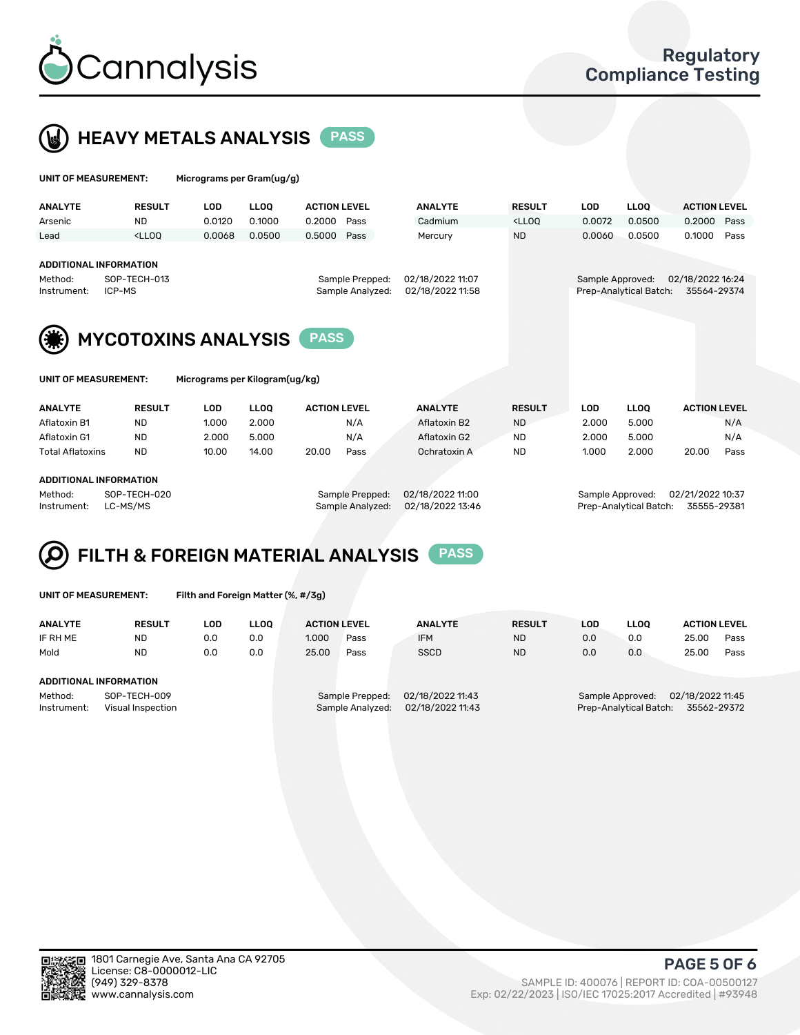



| UNIT OF MEASUREMENT:   |                                                                                                                                                                             | Micrograms per Gram(ug/g)      |             |                     |      |                                      |                                                                                 |                  |                        |                                 |      |
|------------------------|-----------------------------------------------------------------------------------------------------------------------------------------------------------------------------|--------------------------------|-------------|---------------------|------|--------------------------------------|---------------------------------------------------------------------------------|------------------|------------------------|---------------------------------|------|
| <b>ANALYTE</b>         | <b>RESULT</b>                                                                                                                                                               | <b>LOD</b>                     | <b>LLOO</b> | <b>ACTION LEVEL</b> |      | <b>ANALYTE</b>                       | <b>RESULT</b>                                                                   | <b>LOD</b>       | <b>LLOO</b>            | <b>ACTION LEVEL</b>             |      |
| Arsenic                | <b>ND</b>                                                                                                                                                                   | 0.0120                         | 0.1000      | 0.2000              | Pass | Cadmium                              | <lloq< td=""><td>0.0072</td><td>0.0500</td><td>0.2000</td><td>Pass</td></lloq<> | 0.0072           | 0.0500                 | 0.2000                          | Pass |
| Lead                   | <lloo< td=""><td>0.0068</td><td>0.0500</td><td>0.5000</td><td>Pass</td><td>Mercury</td><td><b>ND</b></td><td>0.0060</td><td>0.0500</td><td>0.1000</td><td>Pass</td></lloo<> | 0.0068                         | 0.0500      | 0.5000              | Pass | Mercury                              | <b>ND</b>                                                                       | 0.0060           | 0.0500                 | 0.1000                          | Pass |
| Method:<br>Instrument: | <b>ADDITIONAL INFORMATION</b><br>SOP-TECH-013<br>Sample Prepped:<br>Sample Analyzed:<br>ICP-MS                                                                              |                                |             |                     |      | 02/18/2022 11:07<br>02/18/2022 11:58 |                                                                                 | Sample Approved: | Prep-Analytical Batch: | 02/18/2022 16:24<br>35564-29374 |      |
|                        | <b>MYCOTOXINS ANALYSIS</b>                                                                                                                                                  |                                |             | <b>PASS</b>         |      |                                      |                                                                                 |                  |                        |                                 |      |
| UNIT OF MEASUREMENT:   |                                                                                                                                                                             | Micrograms per Kilogram(ug/kg) |             |                     |      |                                      |                                                                                 |                  |                        |                                 |      |

| <b>ANALYTE</b>          | <b>RESULT</b> | LOD   | <b>LLOO</b> | <b>ACTION LEVEL</b> |      | <b>ANALYTE</b> | <b>RESULT</b> | LOD   | LLOO  | <b>ACTION LEVEL</b> |      |
|-------------------------|---------------|-------|-------------|---------------------|------|----------------|---------------|-------|-------|---------------------|------|
| Aflatoxin B1            | <b>ND</b>     | 1.000 | 2.000       |                     | N/A  | Aflatoxin B2   | <b>ND</b>     | 2.000 | 5.000 |                     | N/A  |
| Aflatoxin G1            | <b>ND</b>     | 2.000 | 5.000       |                     | N/A  | Aflatoxin G2   | <b>ND</b>     | 2.000 | 5.000 |                     | N/A  |
| <b>Total Aflatoxins</b> | <b>ND</b>     | 10.00 | 14.00       | 20.00               | Pass | Ochratoxin A   | <b>ND</b>     | 1.000 | 2.000 | 20.00               | Pass |
|                         |               |       |             |                     |      |                |               |       |       |                     |      |
| ADDITIONAL INFORMATION  |               |       |             |                     |      |                |               |       |       |                     |      |

#### ADDITIONAL INFORMATION

Method: SOP-TECH-020 Sample Prepped: 02/18/2022 11:00 Sample Approved: 02/21/2022 10:37 Instrument: LC-MS/MS Sample Analyzed: 02/18/2022 13:46 Prep-Analytical Batch: 35555-29381

## FILTH & FOREIGN MATERIAL ANALYSIS PASS

UNIT OF MEASUREMENT: Filth and Foreign Matter (%, #/3g)

| <b>ANALYTE</b>                                              | <b>RESULT</b> | LOD. | <b>LLOO</b> | <b>ACTION LEVEL</b> |                                     | <b>ANALYTE</b>                       | <b>RESULT</b> | LOD | LLOO | <b>ACTION LEVEL</b>                                                           |      |  |  |
|-------------------------------------------------------------|---------------|------|-------------|---------------------|-------------------------------------|--------------------------------------|---------------|-----|------|-------------------------------------------------------------------------------|------|--|--|
| IF RH ME                                                    | <b>ND</b>     | 0.0  | 0.0         | 1.000               | Pass                                | <b>IFM</b>                           | <b>ND</b>     | 0.0 | 0.0  | 25.00                                                                         | Pass |  |  |
| Mold                                                        | <b>ND</b>     | 0.0  | 0.0         | 25.00               | Pass                                | <b>SSCD</b>                          | <b>ND</b>     | 0.0 | 0.0  | 25.00                                                                         | Pass |  |  |
| ADDITIONAL INFORMATION                                      |               |      |             |                     |                                     |                                      |               |     |      |                                                                               |      |  |  |
| Method:<br>SOP-TECH-009<br>Instrument:<br>Visual Inspection |               |      |             |                     | Sample Prepped:<br>Sample Analyzed: | 02/18/2022 11:43<br>02/18/2022 11:43 |               |     |      | 02/18/2022 11:45<br>Sample Approved:<br>Prep-Analytical Batch:<br>35562-29372 |      |  |  |